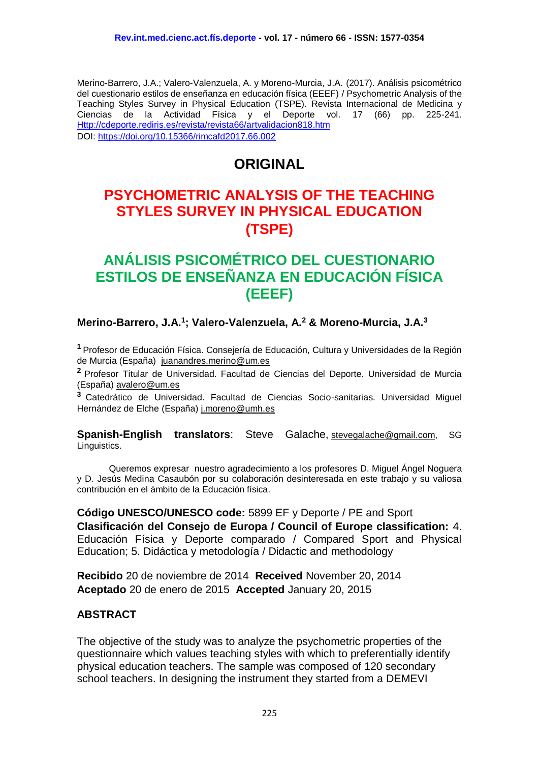Merino-Barrero, J.A.; Valero-Valenzuela, A. y Moreno-Murcia, J.A. (2017). Análisis psicométrico del cuestionario estilos de enseñanza en educación física (EEEF) / Psychometric Analysis of the Teaching Styles Survey in Physical Education (TSPE). Revista Internacional de Medicina y Ciencias de la Actividad Física y el Deporte vol. 17 (66) pp. 225-241. [Http://cdeporte.rediris.es/revista/revista66/artvalidacion818.htm](http://cdeporte.rediris.es/revista/revista66/artvalidacion818.htm) DOI:<https://doi.org/10.15366/rimcafd2017.66.002>

# **ORIGINAL**

# **PSYCHOMETRIC ANALYSIS OF THE TEACHING STYLES SURVEY IN PHYSICAL EDUCATION (TSPE)**

# **ANÁLISIS PSICOMÉTRICO DEL CUESTIONARIO ESTILOS DE ENSEÑANZA EN EDUCACIÓN FÍSICA (EEEF)**

#### **Merino-Barrero, J.A. 1 ; Valero-Valenzuela, A. <sup>2</sup> & Moreno-Murcia, J.A.<sup>3</sup>**

**<sup>1</sup>** Profesor de Educación Física. Consejería de Educación, Cultura y Universidades de la Región de Murcia (España) [juanandres.merino@um.es](mailto:juanandres.merino@um.es)

**<sup>2</sup>** Profesor Titular de Universidad. Facultad de Ciencias del Deporte. Universidad de Murcia (España) [avalero@um.es](mailto:avalero@um.es)

**<sup>3</sup>** Catedrático de Universidad. Facultad de Ciencias Socio-sanitarias. Universidad Miguel Hernández de Elche (España) [j.moreno@umh.es](mailto:j.moreno@umh.es)

**Spanish-English translators**: Steve Galache, [stevegalache@gmail.com,](mailto:stevegalache@gmail.com) SG Linguistics.

Queremos expresar nuestro agradecimiento a los profesores D. Miguel Ángel Noguera y D. Jesús Medina Casaubón por su colaboración desinteresada en este trabajo y su valiosa contribución en el ámbito de la Educación física.

**Código UNESCO/UNESCO code:** 5899 EF y Deporte / PE and Sport **Clasificación del Consejo de Europa / Council of Europe classification:** 4. Educación Física y Deporte comparado / Compared Sport and Physical Education; 5. Didáctica y metodología / Didactic and methodology

**Recibido** 20 de noviembre de 2014 **Received** November 20, 2014 **Aceptado** 20 de enero de 2015 **Accepted** January 20, 2015

#### **ABSTRACT**

The objective of the study was to analyze the psychometric properties of the questionnaire which values teaching styles with which to preferentially identify physical education teachers. The sample was composed of 120 secondary school teachers. In designing the instrument they started from a DEMEVI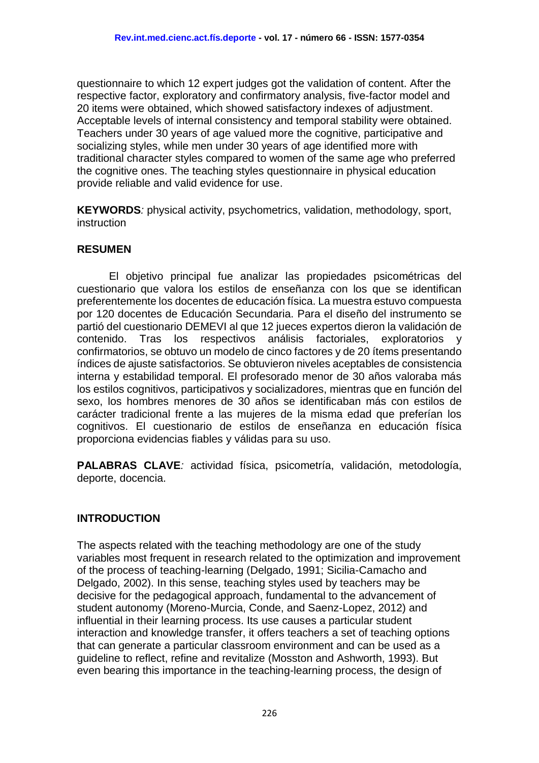questionnaire to which 12 expert judges got the validation of content. After the respective factor, exploratory and confirmatory analysis, five-factor model and 20 items were obtained, which showed satisfactory indexes of adjustment. Acceptable levels of internal consistency and temporal stability were obtained. Teachers under 30 years of age valued more the cognitive, participative and socializing styles, while men under 30 years of age identified more with traditional character styles compared to women of the same age who preferred the cognitive ones. The teaching styles questionnaire in physical education provide reliable and valid evidence for use.

**KEYWORDS***:* physical activity, psychometrics, validation, methodology, sport, **instruction** 

#### **RESUMEN**

El objetivo principal fue analizar las propiedades psicométricas del cuestionario que valora los estilos de enseñanza con los que se identifican preferentemente los docentes de educación física. La muestra estuvo compuesta por 120 docentes de Educación Secundaria. Para el diseño del instrumento se partió del cuestionario DEMEVI al que 12 jueces expertos dieron la validación de contenido. Tras los respectivos análisis factoriales, exploratorios y confirmatorios, se obtuvo un modelo de cinco factores y de 20 ítems presentando índices de ajuste satisfactorios. Se obtuvieron niveles aceptables de consistencia interna y estabilidad temporal. El profesorado menor de 30 años valoraba más los estilos cognitivos, participativos y socializadores, mientras que en función del sexo, los hombres menores de 30 años se identificaban más con estilos de carácter tradicional frente a las mujeres de la misma edad que preferían los cognitivos. El cuestionario de estilos de enseñanza en educación física proporciona evidencias fiables y válidas para su uso.

**PALABRAS CLAVE***:* actividad física, psicometría, validación, metodología, deporte, docencia.

#### **INTRODUCTION**

The aspects related with the teaching methodology are one of the study variables most frequent in research related to the optimization and improvement of the process of teaching-learning (Delgado, 1991; Sicilia-Camacho and Delgado, 2002). In this sense, teaching styles used by teachers may be decisive for the pedagogical approach, fundamental to the advancement of student autonomy (Moreno-Murcia, Conde, and Saenz-Lopez, 2012) and influential in their learning process. Its use causes a particular student interaction and knowledge transfer, it offers teachers a set of teaching options that can generate a particular classroom environment and can be used as a guideline to reflect, refine and revitalize (Mosston and Ashworth, 1993). But even bearing this importance in the teaching-learning process, the design of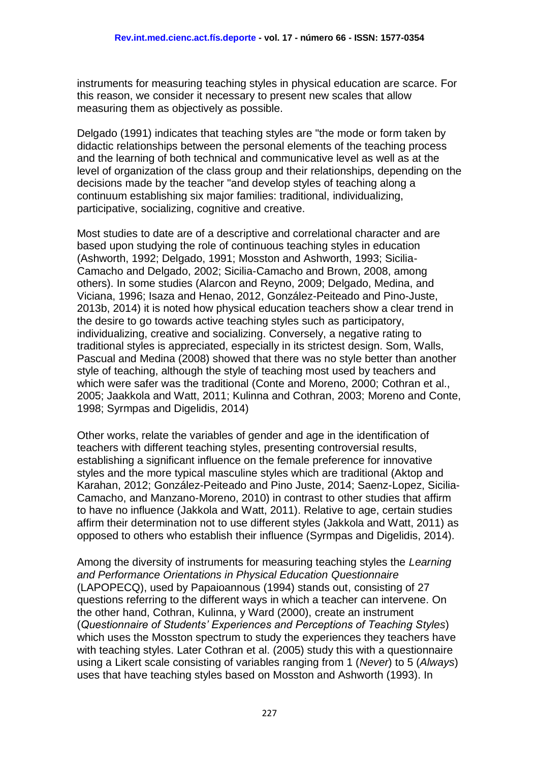instruments for measuring teaching styles in physical education are scarce. For this reason, we consider it necessary to present new scales that allow measuring them as objectively as possible.

Delgado (1991) indicates that teaching styles are "the mode or form taken by didactic relationships between the personal elements of the teaching process and the learning of both technical and communicative level as well as at the level of organization of the class group and their relationships, depending on the decisions made by the teacher "and develop styles of teaching along a continuum establishing six major families: traditional, individualizing, participative, socializing, cognitive and creative.

Most studies to date are of a descriptive and correlational character and are based upon studying the role of continuous teaching styles in education (Ashworth, 1992; Delgado, 1991; Mosston and Ashworth, 1993; Sicilia-Camacho and Delgado, 2002; Sicilia-Camacho and Brown, 2008, among others). In some studies (Alarcon and Reyno, 2009; Delgado, Medina, and Viciana, 1996; Isaza and Henao, 2012, González-Peiteado and Pino-Juste, 2013b, 2014) it is noted how physical education teachers show a clear trend in the desire to go towards active teaching styles such as participatory, individualizing, creative and socializing. Conversely, a negative rating to traditional styles is appreciated, especially in its strictest design. Som, Walls, Pascual and Medina (2008) showed that there was no style better than another style of teaching, although the style of teaching most used by teachers and which were safer was the traditional (Conte and Moreno, 2000; Cothran et al., 2005; Jaakkola and Watt, 2011; Kulinna and Cothran, 2003; Moreno and Conte, 1998; Syrmpas and Digelidis, 2014)

Other works, relate the variables of gender and age in the identification of teachers with different teaching styles, presenting controversial results, establishing a significant influence on the female preference for innovative styles and the more typical masculine styles which are traditional (Aktop and Karahan, 2012; González-Peiteado and Pino Juste, 2014; Saenz-Lopez, Sicilia-Camacho, and Manzano-Moreno, 2010) in contrast to other studies that affirm to have no influence (Jakkola and Watt, 2011). Relative to age, certain studies affirm their determination not to use different styles (Jakkola and Watt, 2011) as opposed to others who establish their influence (Syrmpas and Digelidis, 2014).

Among the diversity of instruments for measuring teaching styles the *Learning and Performance Orientations in Physical Education Questionnaire* (LAPOPECQ), used by Papaioannous (1994) stands out, consisting of 27 questions referring to the different ways in which a teacher can intervene. On the other hand, Cothran, Kulinna, y Ward (2000), create an instrument (*Questionnaire of Students' Experiences and Perceptions of Teaching Styles*) which uses the Mosston spectrum to study the experiences they teachers have with teaching styles. Later Cothran et al. (2005) study this with a questionnaire using a Likert scale consisting of variables ranging from 1 (*Never*) to 5 (*Always*) uses that have teaching styles based on Mosston and Ashworth (1993). In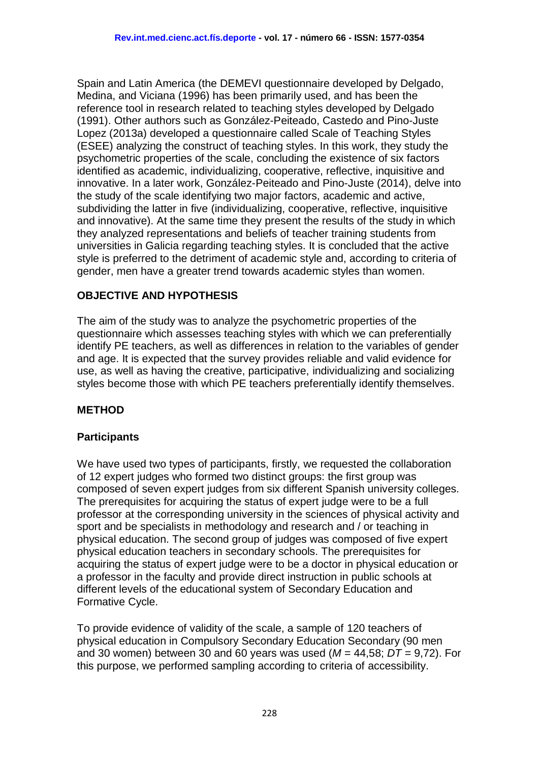Spain and Latin America (the DEMEVI questionnaire developed by Delgado, Medina, and Viciana (1996) has been primarily used, and has been the reference tool in research related to teaching styles developed by Delgado (1991). Other authors such as González-Peiteado, Castedo and Pino-Juste Lopez (2013a) developed a questionnaire called Scale of Teaching Styles (ESEE) analyzing the construct of teaching styles. In this work, they study the psychometric properties of the scale, concluding the existence of six factors identified as academic, individualizing, cooperative, reflective, inquisitive and innovative. In a later work, González-Peiteado and Pino-Juste (2014), delve into the study of the scale identifying two major factors, academic and active, subdividing the latter in five (individualizing, cooperative, reflective, inquisitive and innovative). At the same time they present the results of the study in which they analyzed representations and beliefs of teacher training students from universities in Galicia regarding teaching styles. It is concluded that the active style is preferred to the detriment of academic style and, according to criteria of gender, men have a greater trend towards academic styles than women.

# **OBJECTIVE AND HYPOTHESIS**

The aim of the study was to analyze the psychometric properties of the questionnaire which assesses teaching styles with which we can preferentially identify PE teachers, as well as differences in relation to the variables of gender and age. It is expected that the survey provides reliable and valid evidence for use, as well as having the creative, participative, individualizing and socializing styles become those with which PE teachers preferentially identify themselves.

## **METHOD**

## **Participants**

We have used two types of participants, firstly, we requested the collaboration of 12 expert judges who formed two distinct groups: the first group was composed of seven expert judges from six different Spanish university colleges. The prerequisites for acquiring the status of expert judge were to be a full professor at the corresponding university in the sciences of physical activity and sport and be specialists in methodology and research and / or teaching in physical education. The second group of judges was composed of five expert physical education teachers in secondary schools. The prerequisites for acquiring the status of expert judge were to be a doctor in physical education or a professor in the faculty and provide direct instruction in public schools at different levels of the educational system of Secondary Education and Formative Cycle.

To provide evidence of validity of the scale, a sample of 120 teachers of physical education in Compulsory Secondary Education Secondary (90 men and 30 women) between 30 and 60 years was used (*M* = 44,58; *DT* = 9,72). For this purpose, we performed sampling according to criteria of accessibility.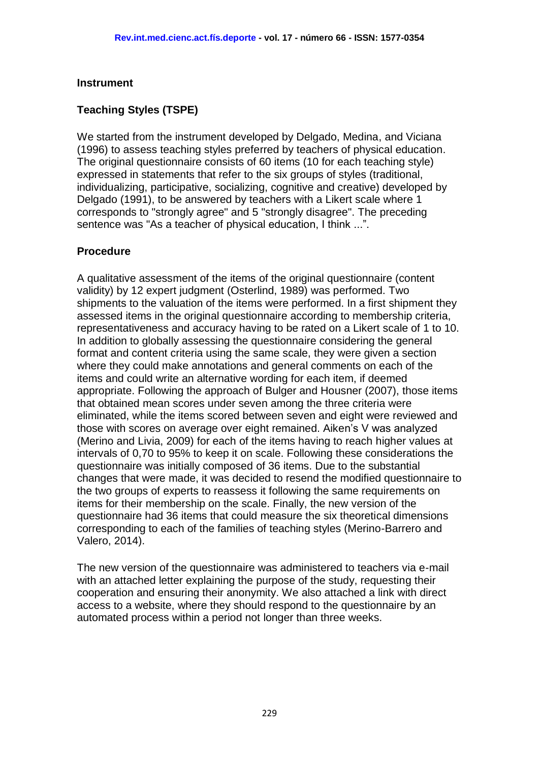#### **Instrument**

## **Teaching Styles (TSPE)**

We started from the instrument developed by Delgado, Medina, and Viciana (1996) to assess teaching styles preferred by teachers of physical education. The original questionnaire consists of 60 items (10 for each teaching style) expressed in statements that refer to the six groups of styles (traditional, individualizing, participative, socializing, cognitive and creative) developed by Delgado (1991), to be answered by teachers with a Likert scale where 1 corresponds to "strongly agree" and 5 "strongly disagree". The preceding sentence was "As a teacher of physical education, I think ...".

#### **Procedure**

A qualitative assessment of the items of the original questionnaire (content validity) by 12 expert judgment (Osterlind, 1989) was performed. Two shipments to the valuation of the items were performed. In a first shipment they assessed items in the original questionnaire according to membership criteria, representativeness and accuracy having to be rated on a Likert scale of 1 to 10. In addition to globally assessing the questionnaire considering the general format and content criteria using the same scale, they were given a section where they could make annotations and general comments on each of the items and could write an alternative wording for each item, if deemed appropriate. Following the approach of Bulger and Housner (2007), those items that obtained mean scores under seven among the three criteria were eliminated, while the items scored between seven and eight were reviewed and those with scores on average over eight remained. Aiken's V was analyzed (Merino and Livia, 2009) for each of the items having to reach higher values at intervals of 0,70 to 95% to keep it on scale. Following these considerations the questionnaire was initially composed of 36 items. Due to the substantial changes that were made, it was decided to resend the modified questionnaire to the two groups of experts to reassess it following the same requirements on items for their membership on the scale. Finally, the new version of the questionnaire had 36 items that could measure the six theoretical dimensions corresponding to each of the families of teaching styles (Merino-Barrero and Valero, 2014).

The new version of the questionnaire was administered to teachers via e-mail with an attached letter explaining the purpose of the study, requesting their cooperation and ensuring their anonymity. We also attached a link with direct access to a website, where they should respond to the questionnaire by an automated process within a period not longer than three weeks.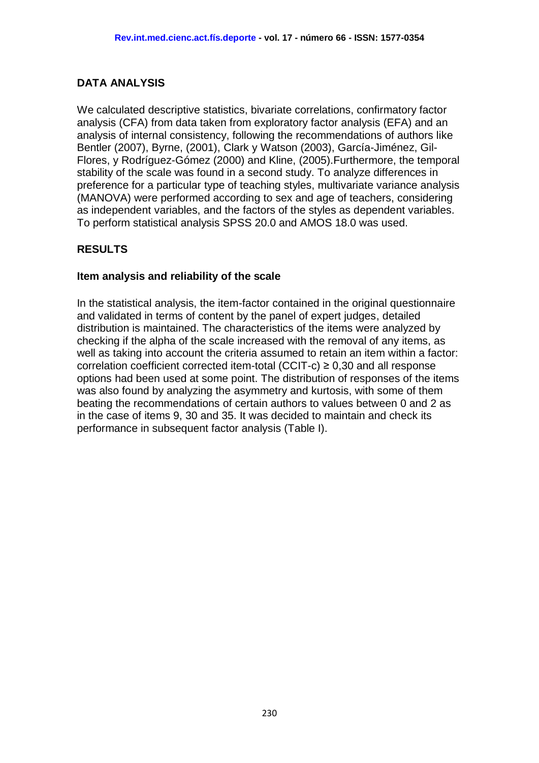### **DATA ANALYSIS**

We calculated descriptive statistics, bivariate correlations, confirmatory factor analysis (CFA) from data taken from exploratory factor analysis (EFA) and an analysis of internal consistency, following the recommendations of authors like Bentler (2007), Byrne, (2001), Clark y Watson (2003), García-Jiménez, Gil-Flores, y Rodríguez-Gómez (2000) and Kline, (2005).Furthermore, the temporal stability of the scale was found in a second study. To analyze differences in preference for a particular type of teaching styles, multivariate variance analysis (MANOVA) were performed according to sex and age of teachers, considering as independent variables, and the factors of the styles as dependent variables. To perform statistical analysis SPSS 20.0 and AMOS 18.0 was used.

## **RESULTS**

#### **Item analysis and reliability of the scale**

In the statistical analysis, the item-factor contained in the original questionnaire and validated in terms of content by the panel of expert judges, detailed distribution is maintained. The characteristics of the items were analyzed by checking if the alpha of the scale increased with the removal of any items, as well as taking into account the criteria assumed to retain an item within a factor: correlation coefficient corrected item-total (CCIT-c)  $\geq$  0,30 and all response options had been used at some point. The distribution of responses of the items was also found by analyzing the asymmetry and kurtosis, with some of them beating the recommendations of certain authors to values between 0 and 2 as in the case of items 9, 30 and 35. It was decided to maintain and check its performance in subsequent factor analysis (Table I).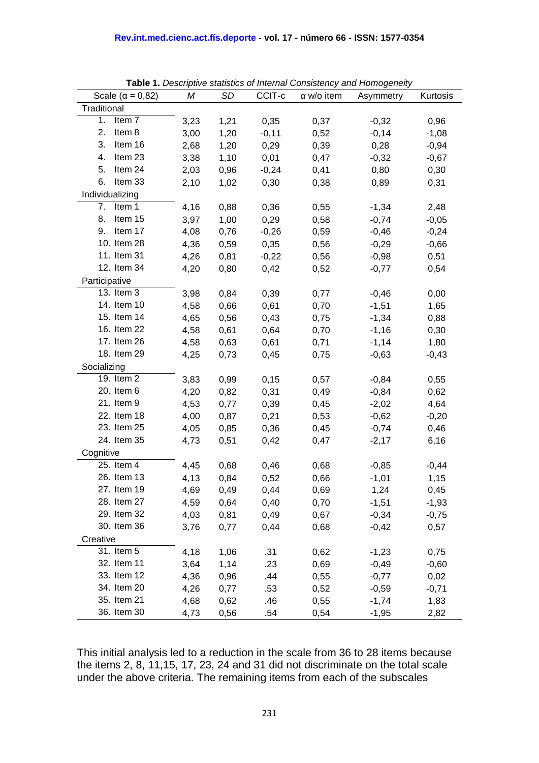| Scale ( $\alpha$ = 0,82) | М    | SD   | CCIT-c  | $\alpha$ w/o item | <b>Table 1.</b> Descriptive statistics or internal consistency and homogeneity<br>Asymmetry | Kurtosis |
|--------------------------|------|------|---------|-------------------|---------------------------------------------------------------------------------------------|----------|
| Traditional              |      |      |         |                   |                                                                                             |          |
| 1.<br>Item <sub>7</sub>  | 3,23 | 1,21 | 0,35    | 0,37              | $-0,32$                                                                                     | 0,96     |
| 2.<br>Item 8             | 3,00 | 1,20 | $-0,11$ | 0,52              | $-0,14$                                                                                     | $-1,08$  |
| 3.<br>Item 16            | 2,68 | 1,20 | 0,29    | 0,39              | 0,28                                                                                        | $-0,94$  |
| Item 23<br>4.            | 3,38 | 1,10 | 0,01    | 0,47              | $-0,32$                                                                                     | $-0,67$  |
| 5.<br>Item 24            | 2,03 | 0,96 | $-0,24$ | 0,41              | 0,80                                                                                        | 0,30     |
| 6.<br>Item 33            | 2,10 | 1,02 | 0,30    | 0,38              | 0,89                                                                                        | 0,31     |
| Individualizing          |      |      |         |                   |                                                                                             |          |
| Item 1<br>7.             | 4,16 | 0,88 | 0,36    | 0,55              | $-1,34$                                                                                     | 2,48     |
| 8. Item 15               | 3,97 | 1,00 | 0,29    | 0,58              | $-0,74$                                                                                     | $-0,05$  |
| Item 17<br>9.            | 4,08 | 0,76 | $-0,26$ | 0,59              | $-0,46$                                                                                     | $-0,24$  |
| 10. Item 28              | 4,36 | 0,59 | 0,35    | 0,56              | $-0,29$                                                                                     | $-0,66$  |
| 11. Item 31              | 4,26 | 0,81 | $-0,22$ | 0,56              | $-0,98$                                                                                     | 0,51     |
| 12. Item 34              | 4,20 | 0,80 | 0,42    | 0,52              | $-0,77$                                                                                     | 0,54     |
| Participative            |      |      |         |                   |                                                                                             |          |
| 13. Item 3               | 3,98 | 0,84 | 0,39    | 0,77              | $-0,46$                                                                                     | 0,00     |
| 14. Item 10              | 4,58 | 0,66 | 0,61    | 0,70              | $-1,51$                                                                                     | 1,65     |
| 15. Item 14              | 4,65 | 0,56 | 0,43    | 0,75              | $-1,34$                                                                                     | 0,88     |
| 16. Item 22              | 4,58 | 0,61 | 0,64    | 0,70              | $-1,16$                                                                                     | 0,30     |
| 17. Item 26              | 4,58 | 0,63 | 0,61    | 0,71              | $-1,14$                                                                                     | 1,80     |
| 18. Item 29              | 4,25 | 0,73 | 0,45    | 0,75              | $-0,63$                                                                                     | $-0,43$  |
| Socializing              |      |      |         |                   |                                                                                             |          |
| 19. Item 2               | 3,83 | 0,99 | 0,15    | 0,57              | $-0,84$                                                                                     | 0,55     |
| 20. Item 6               | 4,20 | 0,82 | 0,31    | 0,49              | $-0,84$                                                                                     | 0,62     |
| 21. Item 9               | 4,53 | 0,77 | 0,39    | 0,45              | $-2,02$                                                                                     | 4,64     |
| 22. Item 18              | 4,00 | 0,87 | 0,21    | 0,53              | $-0,62$                                                                                     | $-0,20$  |
| 23. Item 25              | 4,05 | 0,85 | 0,36    | 0,45              | $-0,74$                                                                                     | 0,46     |
| 24. Item 35              | 4,73 | 0,51 | 0,42    | 0,47              | $-2,17$                                                                                     | 6,16     |
| Cognitive                |      |      |         |                   |                                                                                             |          |
| 25. Item 4               | 4,45 | 0,68 | 0,46    | 0,68              | $-0,85$                                                                                     | $-0,44$  |
| 26. Item 13              | 4,13 | 0,84 | 0,52    | 0,66              | $-1,01$                                                                                     | 1,15     |
| 27. Item 19              | 4,69 | 0,49 | 0,44    | 0,69              | 1,24                                                                                        | 0,45     |
| 28. Item 27              | 4,59 | 0,64 | 0,40    | 0,70              | $-1,51$                                                                                     | $-1,93$  |
| 29. Item 32              | 4,03 | 0,81 | 0,49    | 0,67              | $-0,34$                                                                                     | $-0,75$  |
| 30. Item 36              | 3,76 | 0,77 | 0,44    | 0,68              | $-0,42$                                                                                     | 0,57     |
| Creative                 |      |      |         |                   |                                                                                             |          |
| 31. Item 5               | 4,18 | 1,06 | .31     | 0,62              | $-1,23$                                                                                     | 0,75     |
| 32. Item 11              | 3,64 | 1,14 | .23     | 0,69              | $-0,49$                                                                                     | $-0,60$  |
| 33. Item 12              | 4,36 | 0,96 | .44     | 0,55              | $-0,77$                                                                                     | 0,02     |
| 34. Item 20              | 4,26 | 0,77 | .53     | 0,52              | $-0,59$                                                                                     | $-0,71$  |
| 35. Item 21              | 4,68 | 0,62 | .46     | 0,55              | $-1,74$                                                                                     | 1,83     |
| 36. Item 30              | 4,73 | 0,56 | .54     | 0,54              | $-1,95$                                                                                     | 2,82     |

**Table 1.** *Descriptive statistics of Internal Consistency and Homogeneity*

This initial analysis led to a reduction in the scale from 36 to 28 items because the items 2, 8, 11,15, 17, 23, 24 and 31 did not discriminate on the total scale under the above criteria. The remaining items from each of the subscales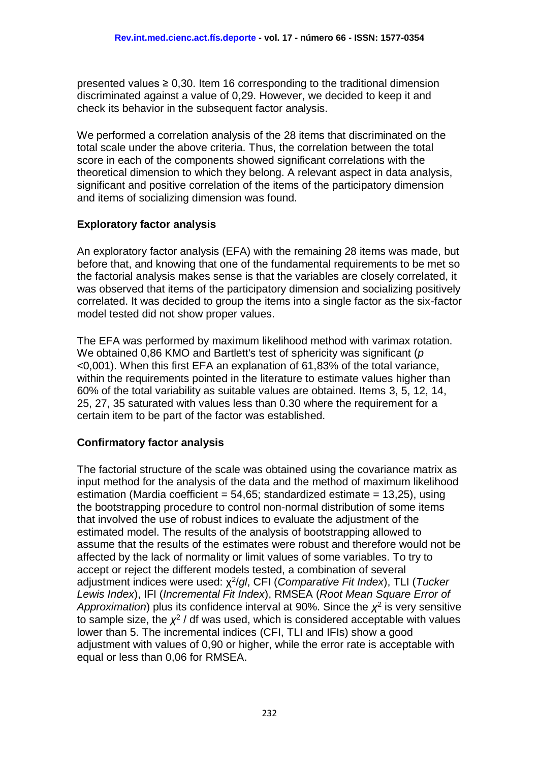presented values  $\geq 0.30$ . Item 16 corresponding to the traditional dimension discriminated against a value of 0,29. However, we decided to keep it and check its behavior in the subsequent factor analysis.

We performed a correlation analysis of the 28 items that discriminated on the total scale under the above criteria. Thus, the correlation between the total score in each of the components showed significant correlations with the theoretical dimension to which they belong. A relevant aspect in data analysis, significant and positive correlation of the items of the participatory dimension and items of socializing dimension was found.

## **Exploratory factor analysis**

An exploratory factor analysis (EFA) with the remaining 28 items was made, but before that, and knowing that one of the fundamental requirements to be met so the factorial analysis makes sense is that the variables are closely correlated, it was observed that items of the participatory dimension and socializing positively correlated. It was decided to group the items into a single factor as the six-factor model tested did not show proper values.

The EFA was performed by maximum likelihood method with varimax rotation. We obtained 0,86 KMO and Bartlett's test of sphericity was significant (*p* <0,001). When this first EFA an explanation of 61,83% of the total variance, within the requirements pointed in the literature to estimate values higher than 60% of the total variability as suitable values are obtained. Items 3, 5, 12, 14, 25, 27, 35 saturated with values less than 0.30 where the requirement for a certain item to be part of the factor was established.

## **Confirmatory factor analysis**

The factorial structure of the scale was obtained using the covariance matrix as input method for the analysis of the data and the method of maximum likelihood estimation (Mardia coefficient = 54,65; standardized estimate = 13,25), using the bootstrapping procedure to control non-normal distribution of some items that involved the use of robust indices to evaluate the adjustment of the estimated model. The results of the analysis of bootstrapping allowed to assume that the results of the estimates were robust and therefore would not be affected by the lack of normality or limit values of some variables. To try to accept or reject the different models tested, a combination of several adjustment indices were used: χ 2 /*gl*, CFI (*Comparative Fit Index*), TLI (*Tucker Lewis Index*), IFI (*Incremental Fit Index*), RMSEA (*Root Mean Square Error of Approximation*) plus its confidence interval at 90%. Since the  $\chi^2$  is very sensitive to sample size, the  $\chi^2$  / df was used, which is considered acceptable with values lower than 5. The incremental indices (CFI, TLI and IFIs) show a good adjustment with values of 0,90 or higher, while the error rate is acceptable with equal or less than 0,06 for RMSEA.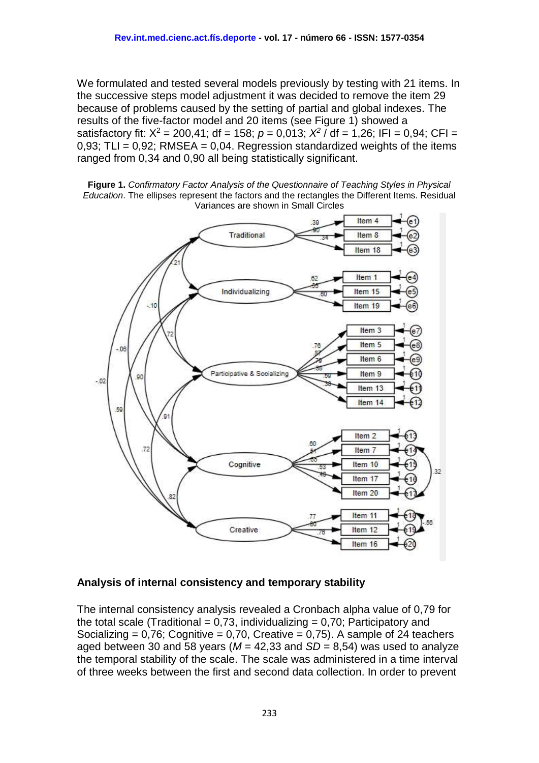We formulated and tested several models previously by testing with 21 items. In the successive steps model adjustment it was decided to remove the item 29 because of problems caused by the setting of partial and global indexes. The results of the five-factor model and 20 items (see Figure 1) showed a satisfactory fit:  $X^2 = 200,41$ ; df = 158;  $p = 0,013$ ;  $X^2$  / df = 1,26; IFI = 0,94; CFI = 0,93; TLI =  $0.92$ ; RMSEA = 0,04. Regression standardized weights of the items ranged from 0,34 and 0,90 all being statistically significant.





#### **Analysis of internal consistency and temporary stability**

The internal consistency analysis revealed a Cronbach alpha value of 0,79 for the total scale (Traditional =  $0.73$ , individualizing =  $0.70$ ; Participatory and Socializing =  $0.76$ ; Cognitive =  $0.70$ , Creative =  $0.75$ ). A sample of 24 teachers aged between 30 and 58 years ( $M = 42,33$  and  $SD = 8,54$ ) was used to analyze the temporal stability of the scale. The scale was administered in a time interval of three weeks between the first and second data collection. In order to prevent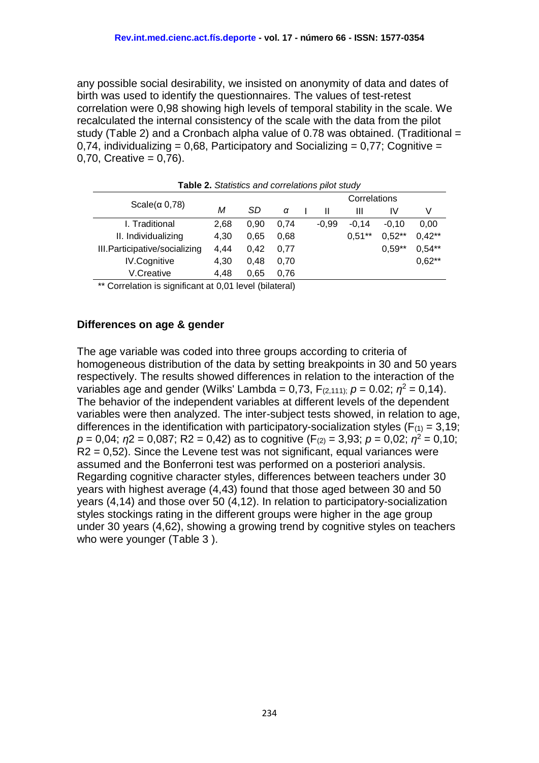any possible social desirability, we insisted on anonymity of data and dates of birth was used to identify the questionnaires. The values of test-retest correlation were 0,98 showing high levels of temporal stability in the scale. We recalculated the internal consistency of the scale with the data from the pilot study (Table 2) and a Cronbach alpha value of 0.78 was obtained. (Traditional = 0,74, individualizing = 0,68, Participatory and Socializing =  $0.77$ ; Cognitive =  $0,70,$  Creative =  $0,76$ ).

|                                |      |      |      | Correlations |         |           |          |          |  |  |  |
|--------------------------------|------|------|------|--------------|---------|-----------|----------|----------|--|--|--|
| Scale $(\alpha 0,78)$          | М    | SD   | α    |              | Ш       | Ш         | IV       | V        |  |  |  |
| I. Traditional                 | 2,68 | 0.90 | 0.74 |              | $-0,99$ | $-0.14$   | $-0,10$  | 0,00     |  |  |  |
| II. Individualizing            | 4,30 | 0.65 | 0.68 |              |         | $0,51***$ | $0,52**$ | $0.42**$ |  |  |  |
| III. Participative/socializing | 4.44 | 0.42 | 0.77 |              |         |           | $0.59**$ | $0.54**$ |  |  |  |
| <b>IV.Cognitive</b>            | 4,30 | 0.48 | 0.70 |              |         |           |          | $0,62**$ |  |  |  |
| V.Creative                     | 4,48 | 0.65 | 0.76 |              |         |           |          |          |  |  |  |
|                                |      |      |      |              |         |           |          |          |  |  |  |

**Table 2.** *Statistics and correlations pilot study*

\*\* Correlation is significant at 0,01 level (bilateral)

#### **Differences on age & gender**

The age variable was coded into three groups according to criteria of homogeneous distribution of the data by setting breakpoints in 30 and 50 years respectively. The results showed differences in relation to the interaction of the variables age and gender (Wilks' Lambda = 0,73,  $F_{(2,111)}$ ;  $p = 0.02$ ;  $\eta^2 = 0.14$ ). The behavior of the independent variables at different levels of the dependent variables were then analyzed. The inter-subject tests showed, in relation to age, differences in the identification with participatory-socialization styles ( $F_{(1)} = 3.19$ ;  $p = 0.04$ ;  $q = 0.087$ ; R2 = 0.42) as to cognitive (F<sub>(2)</sub> = 3.93;  $p = 0.02$ ;  $q^2 = 0.10$ ;  $R2 = 0.52$ ). Since the Levene test was not significant, equal variances were assumed and the Bonferroni test was performed on a posteriori analysis. Regarding cognitive character styles, differences between teachers under 30 years with highest average (4,43) found that those aged between 30 and 50 years (4,14) and those over 50 (4,12). In relation to participatory-socialization styles stockings rating in the different groups were higher in the age group under 30 years (4,62), showing a growing trend by cognitive styles on teachers who were younger (Table 3 ).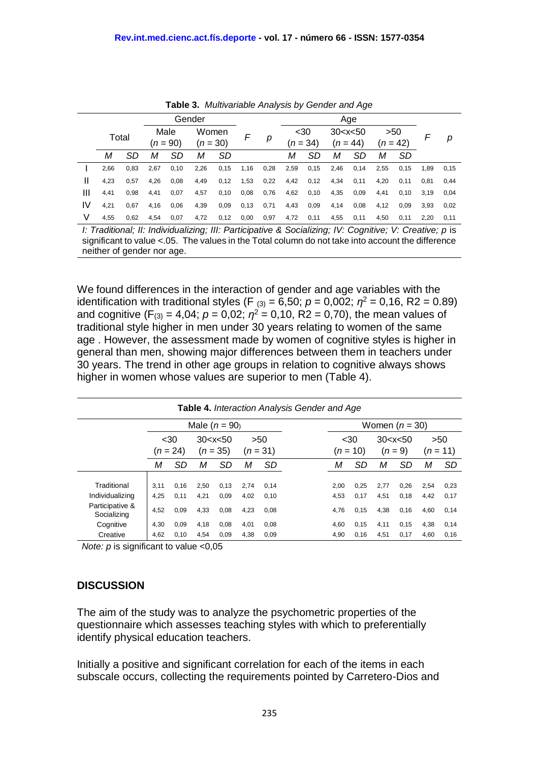|    |       |      |      |            | Gender     |       |      |      | Age  |            |             |            |      |            |      |      |
|----|-------|------|------|------------|------------|-------|------|------|------|------------|-------------|------------|------|------------|------|------|
|    | Total |      |      | Male       |            | Women | F    |      | $30$ |            | 30 < x < 50 |            | >50  |            |      |      |
|    |       |      |      | $(n = 90)$ | $(n = 30)$ |       |      | р    |      | $(n = 34)$ |             | $(n = 44)$ |      | $(n = 42)$ |      | р    |
|    | М     | SD   | М    | SD         | М          | SD    |      |      | М    | SD         | М           | SD         | м    | <b>SD</b>  |      |      |
|    | 2,66  | 0,83 | 2,67 | 0, 10      | 2,26       | 0,15  | 1,16 | 0,28 | 2,59 | 0,15       | 2,46        | 0,14       | 2,55 | 0,15       | 1,89 | 0,15 |
| Ш  | 4,23  | 0,57 | 4,26 | 0,08       | 4,49       | 0,12  | 1,53 | 0,22 | 4,42 | 0,12       | 4,34        | 0,11       | 4,20 | 0,11       | 0,81 | 0.44 |
| Ш  | 4,41  | 0,98 | 4,41 | 0,07       | 4,57       | 0,10  | 0,08 | 0,76 | 4,62 | 0,10       | 4,35        | 0,09       | 4,41 | 0,10       | 3,19 | 0,04 |
| IV | 4,21  | 0.67 | 4,16 | 0,06       | 4,39       | 0,09  | 0,13 | 0,71 | 4,43 | 0,09       | 4,14        | 0,08       | 4,12 | 0.09       | 3,93 | 0,02 |
| V  | 4,55  | 0,62 | 4,54 | 0,07       | 4,72       | 0,12  | 0,00 | 0,97 | 4,72 | 0,11       | 4,55        | 0,11       | 4,50 | 0,11       | 2,20 | 0,11 |
|    |       |      |      |            |            |       |      |      |      |            |             |            |      |            |      |      |

**Table 3.** *Multivariable Analysis by Gender and Age*

*I: Traditional; II: Individualizing; III: Participative & Socializing; IV: Cognitive; V: Creative; p* is significant to value <.05. The values in the Total column do not take into account the difference neither of gender nor age.

We found differences in the interaction of gender and age variables with the identification with traditional styles (F  $_{(3)} = 6,50$ ;  $p = 0,002$ ;  $q^2 = 0,16$ , R2 = 0.89) and cognitive (F<sub>(3)</sub> = 4,04;  $p = 0.02$ ;  $q^2 = 0.10$ , R2 = 0,70), the mean values of traditional style higher in men under 30 years relating to women of the same age . However, the assessment made by women of cognitive styles is higher in general than men, showing major differences between them in teachers under 30 years. The trend in other age groups in relation to cognitive always shows higher in women whose values are superior to men (Table 4).

|                                |                                                 |                  |                   |              |              |                    | <b>Table 4.</b> Interaction Analysis Gender and Age |                          |              |                   |              |              |              |
|--------------------------------|-------------------------------------------------|------------------|-------------------|--------------|--------------|--------------------|-----------------------------------------------------|--------------------------|--------------|-------------------|--------------|--------------|--------------|
|                                |                                                 | Women $(n = 30)$ |                   |              |              |                    |                                                     |                          |              |                   |              |              |              |
|                                | $30$<br>30 < x < 50<br>$(n = 24)$<br>$(n = 35)$ |                  | >50<br>$(n = 31)$ |              |              | $30$<br>$(n = 10)$ |                                                     | 30 < x < 50<br>$(n = 9)$ |              | >50<br>$(n = 11)$ |              |              |              |
|                                | М                                               | SD               | М                 | <b>SD</b>    | м            | <b>SD</b>          |                                                     | М                        | SD           | М                 | <b>SD</b>    | М            | <b>SD</b>    |
| Traditional<br>Individualizing | 3.11<br>4,25                                    | 0.16<br>0.11     | 2,50<br>4,21      | 0,13<br>0.09 | 2.74<br>4,02 | 0.14<br>0,10       |                                                     | 2,00<br>4,53             | 0.25<br>0,17 | 2,77<br>4,51      | 0.26<br>0.18 | 2,54<br>4.42 | 0,23<br>0,17 |
| Participative &<br>Socializing | 4,52                                            | 0,09             | 4,33              | 0,08         | 4,23         | 0,08               |                                                     | 4,76                     | 0,15         | 4,38              | 0,16         | 4,60         | 0,14         |
| Cognitive                      | 4,30                                            | 0,09             | 4,18              | 0,08         | 4,01         | 0,08               |                                                     | 4,60                     | 0,15         | 4,11              | 0,15         | 4,38         | 0,14         |
| Creative                       | 4,62                                            | 0,10             | 4,54              | 0,09         | 4,38         | 0,09               |                                                     | 4,90                     | 0,16         | 4,51              | 0,17         | 4,60         | 0,16         |

*Note: p* is significant to value <0,05

#### **DISCUSSION**

The aim of the study was to analyze the psychometric properties of the questionnaire which assesses teaching styles with which to preferentially identify physical education teachers.

Initially a positive and significant correlation for each of the items in each subscale occurs, collecting the requirements pointed by Carretero-Dios and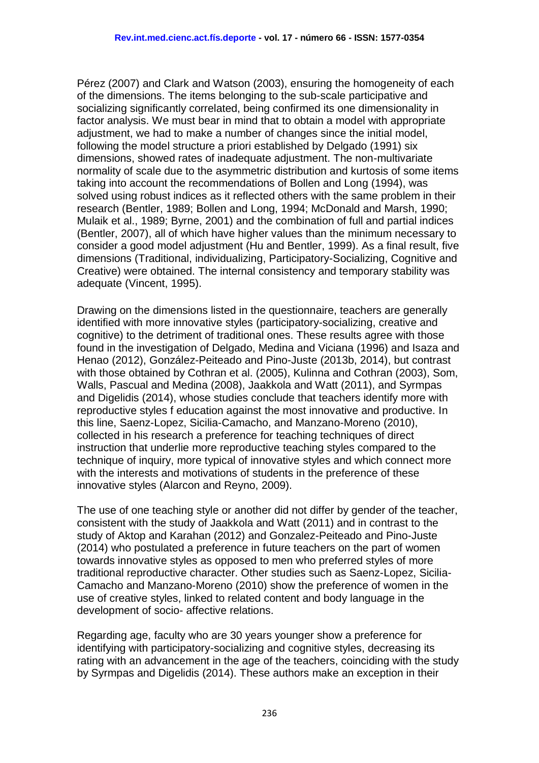Pérez (2007) and Clark and Watson (2003), ensuring the homogeneity of each of the dimensions. The items belonging to the sub-scale participative and socializing significantly correlated, being confirmed its one dimensionality in factor analysis. We must bear in mind that to obtain a model with appropriate adjustment, we had to make a number of changes since the initial model, following the model structure a priori established by Delgado (1991) six dimensions, showed rates of inadequate adjustment. The non-multivariate normality of scale due to the asymmetric distribution and kurtosis of some items taking into account the recommendations of Bollen and Long (1994), was solved using robust indices as it reflected others with the same problem in their research (Bentler, 1989; Bollen and Long, 1994; McDonald and Marsh, 1990; Mulaik et al., 1989; Byrne, 2001) and the combination of full and partial indices (Bentler, 2007), all of which have higher values than the minimum necessary to consider a good model adjustment (Hu and Bentler, 1999). As a final result, five dimensions (Traditional, individualizing, Participatory-Socializing, Cognitive and Creative) were obtained. The internal consistency and temporary stability was adequate (Vincent, 1995).

Drawing on the dimensions listed in the questionnaire, teachers are generally identified with more innovative styles (participatory-socializing, creative and cognitive) to the detriment of traditional ones. These results agree with those found in the investigation of Delgado, Medina and Viciana (1996) and Isaza and Henao (2012), González-Peiteado and Pino-Juste (2013b, 2014), but contrast with those obtained by Cothran et al. (2005), Kulinna and Cothran (2003), Som, Walls, Pascual and Medina (2008), Jaakkola and Watt (2011), and Syrmpas and Digelidis (2014), whose studies conclude that teachers identify more with reproductive styles f education against the most innovative and productive. In this line, Saenz-Lopez, Sicilia-Camacho, and Manzano-Moreno (2010), collected in his research a preference for teaching techniques of direct instruction that underlie more reproductive teaching styles compared to the technique of inquiry, more typical of innovative styles and which connect more with the interests and motivations of students in the preference of these innovative styles (Alarcon and Reyno, 2009).

The use of one teaching style or another did not differ by gender of the teacher, consistent with the study of Jaakkola and Watt (2011) and in contrast to the study of Aktop and Karahan (2012) and Gonzalez-Peiteado and Pino-Juste (2014) who postulated a preference in future teachers on the part of women towards innovative styles as opposed to men who preferred styles of more traditional reproductive character. Other studies such as Saenz-Lopez, Sicilia-Camacho and Manzano-Moreno (2010) show the preference of women in the use of creative styles, linked to related content and body language in the development of socio- affective relations.

Regarding age, faculty who are 30 years younger show a preference for identifying with participatory-socializing and cognitive styles, decreasing its rating with an advancement in the age of the teachers, coinciding with the study by Syrmpas and Digelidis (2014). These authors make an exception in their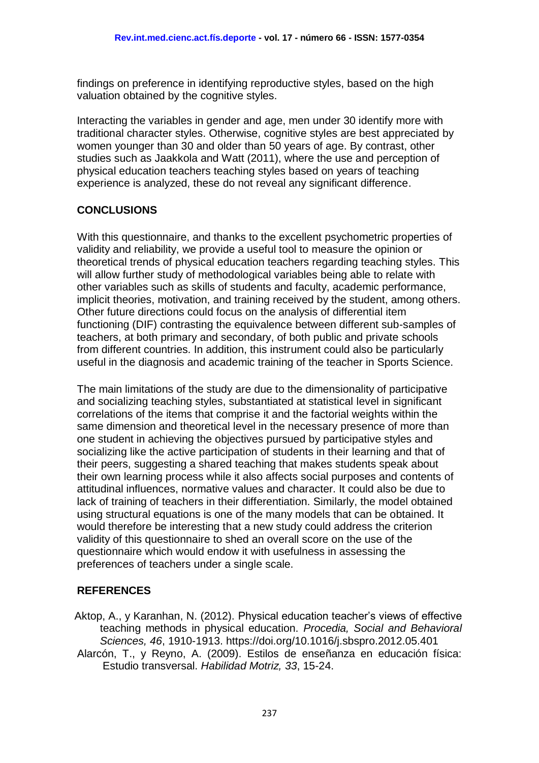findings on preference in identifying reproductive styles, based on the high valuation obtained by the cognitive styles.

Interacting the variables in gender and age, men under 30 identify more with traditional character styles. Otherwise, cognitive styles are best appreciated by women younger than 30 and older than 50 years of age. By contrast, other studies such as Jaakkola and Watt (2011), where the use and perception of physical education teachers teaching styles based on years of teaching experience is analyzed, these do not reveal any significant difference.

## **CONCLUSIONS**

With this questionnaire, and thanks to the excellent psychometric properties of validity and reliability, we provide a useful tool to measure the opinion or theoretical trends of physical education teachers regarding teaching styles. This will allow further study of methodological variables being able to relate with other variables such as skills of students and faculty, academic performance, implicit theories, motivation, and training received by the student, among others. Other future directions could focus on the analysis of differential item functioning (DIF) contrasting the equivalence between different sub-samples of teachers, at both primary and secondary, of both public and private schools from different countries. In addition, this instrument could also be particularly useful in the diagnosis and academic training of the teacher in Sports Science.

The main limitations of the study are due to the dimensionality of participative and socializing teaching styles, substantiated at statistical level in significant correlations of the items that comprise it and the factorial weights within the same dimension and theoretical level in the necessary presence of more than one student in achieving the objectives pursued by participative styles and socializing like the active participation of students in their learning and that of their peers, suggesting a shared teaching that makes students speak about their own learning process while it also affects social purposes and contents of attitudinal influences, normative values and character. It could also be due to lack of training of teachers in their differentiation. Similarly, the model obtained using structural equations is one of the many models that can be obtained. It would therefore be interesting that a new study could address the criterion validity of this questionnaire to shed an overall score on the use of the questionnaire which would endow it with usefulness in assessing the preferences of teachers under a single scale.

## **REFERENCES**

Aktop, A., y Karanhan, N. (2012). Physical education teacher's views of effective teaching methods in physical education. *Procedia, Social and Behavioral Sciences, 46*, 1910-1913. https://doi.org/10.1016/j.sbspro.2012.05.401 Alarcón, T., y Reyno, A. (2009). Estilos de enseñanza en educación física: Estudio transversal. *Habilidad Motriz, 33*, 15-24.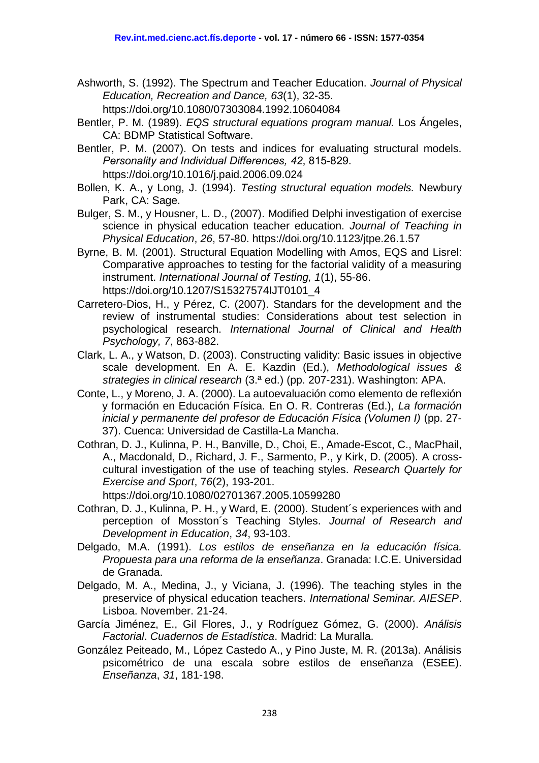- Ashworth, S. (1992). The Spectrum and Teacher Education. *Journal of Physical Education, Recreation and Dance, 63*(1), 32-35.
	- https://doi.org/10.1080/07303084.1992.10604084
- Bentler, P. M. (1989). *EQS structural equations program manual.* Los Ángeles, CA: BDMP Statistical Software.
- Bentler, P. M. (2007). On tests and indices for evaluating structural models. *Personality and Individual Differences, 42*, 815-829. https://doi.org/10.1016/j.paid.2006.09.024
- Bollen, K. A., y Long, J. (1994). *Testing structural equation models.* Newbury Park, CA: Sage.
- Bulger, S. M., y Housner, L. D., (2007). Modified Delphi investigation of exercise science in physical education teacher education. *Journal of Teaching in Physical Education*, *26*, 57-80. https://doi.org/10.1123/jtpe.26.1.57
- Byrne, B. M. (2001). Structural Equation Modelling with Amos, EQS and Lisrel: Comparative approaches to testing for the factorial validity of a measuring instrument. *International Journal of Testing, 1*(1), 55-86. https://doi.org/10.1207/S15327574IJT0101\_4
- Carretero-Dios, H., y Pérez, C. (2007). Standars for the development and the review of instrumental studies: Considerations about test selection in psychological research. *International Journal of Clinical and Health Psychology, 7*, 863-882.
- Clark, L. A., y Watson, D. (2003). Constructing validity: Basic issues in objective scale development. En A. E. Kazdin (Ed.), *Methodological issues & strategies in clinical research* (3.ª ed.) (pp. 207-231). Washington: APA.
- Conte, L., y Moreno, J. A. (2000). La autoevaluación como elemento de reflexión y formación en Educación Física. En O. R. Contreras (Ed.), *La formación inicial y permanente del profesor de Educación Física (Volumen I)* (pp. 27-37). Cuenca: Universidad de Castilla-La Mancha.
- Cothran, D. J., Kulinna, P. H., Banville, D., Choi, E., Amade-Escot, C., MacPhail, A., Macdonald, D., Richard, J. F., Sarmento, P., y Kirk, D. (2005). A crosscultural investigation of the use of teaching styles. *Research Quartely for Exercise and Sport*, 7*6*(2), 193-201.

https://doi.org/10.1080/02701367.2005.10599280

- Cothran, D. J., Kulinna, P. H., y Ward, E. (2000). Student´s experiences with and perception of Mosston´s Teaching Styles. *Journal of Research and Development in Education*, *34*, 93-103.
- Delgado, M.A. (1991). *Los estilos de enseñanza en la educación física. Propuesta para una reforma de la enseñanza*. Granada: I.C.E. Universidad de Granada.
- Delgado, M. A., Medina, J., y Viciana, J. (1996). The teaching styles in the preservice of physical education teachers. *International Seminar. AIESEP*. Lisboa. November. 21-24.
- García Jiménez, E., Gil Flores, J., y Rodríguez Gómez, G. (2000). *Análisis Factorial*. *Cuadernos de Estadística*. Madrid: La Muralla.
- González Peiteado, M., López Castedo A., y Pino Juste, M. R. (2013a). Análisis psicométrico de una escala sobre estilos de enseñanza (ESEE). *Enseñanza*, *31*, 181-198.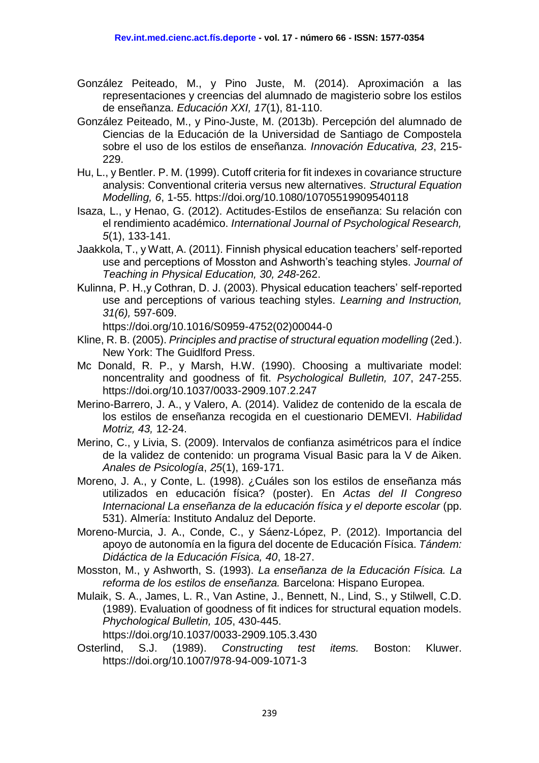- González Peiteado, M., y Pino Juste, M. (2014). Aproximación a las representaciones y creencias del alumnado de magisterio sobre los estilos de enseñanza. *Educación XXI, 17*(1), 81-110.
- González Peiteado, M., y Pino-Juste, M. (2013b). Percepción del alumnado de Ciencias de la Educación de la Universidad de Santiago de Compostela sobre el uso de los estilos de enseñanza. *Innovación Educativa, 23*, 215- 229.
- Hu, L., y Bentler. P. M. (1999). Cutoff criteria for fit indexes in covariance structure analysis: Conventional criteria versus new alternatives. *Structural Equation Modelling, 6*, 1-55. https://doi.org/10.1080/10705519909540118
- Isaza, L., y Henao, G. (2012). Actitudes-Estilos de enseñanza: Su relación con el rendimiento académico. *International Journal of Psychological Research, 5*(1), 133-141.
- Jaakkola, T., y Watt, A. (2011). Finnish physical education teachers' self-reported use and perceptions of Mosston and Ashworth's teaching styles. *Journal of Teaching in Physical Education, 30, 248*-262.
- Kulinna, P. H.,y Cothran, D. J. (2003). Physical education teachers' self-reported use and perceptions of various teaching styles. *Learning and Instruction, 31(6),* 597-609.

https://doi.org/10.1016/S0959-4752(02)00044-0

- Kline, R. B. (2005). *Principles and practise of structural equation modelling* (2ed.). New York: The Guidlford Press.
- Mc Donald, R. P., y Marsh, H.W. (1990). Choosing a multivariate model: noncentrality and goodness of fit. *Psychological Bulletin, 107*, 247-255. https://doi.org/10.1037/0033-2909.107.2.247
- Merino-Barrero, J. A., y Valero, A. (2014). Validez de contenido de la escala de los estilos de enseñanza recogida en el cuestionario DEMEVI. *Habilidad Motriz, 43,* 12-24.
- Merino, C., y Livia, S. (2009). Intervalos de confianza asimétricos para el índice de la validez de contenido: un programa Visual Basic para la V de Aiken. *Anales de Psicología*, *25*(1), 169-171.
- Moreno, J. A., y Conte, L. (1998). ¿Cuáles son los estilos de enseñanza más utilizados en educación física? (poster). En *Actas del II Congreso Internacional La enseñanza de la educación física y el deporte escolar* (pp. 531). Almería: Instituto Andaluz del Deporte.
- Moreno-Murcia, J. A., Conde, C., y Sáenz-López, P. (2012). Importancia del apoyo de autonomía en la figura del docente de Educación Física. *Tándem: Didáctica de la Educación Física, 40*, 18-27.
- Mosston, M., y Ashworth, S. (1993). *La enseñanza de la Educación Física. La reforma de los estilos de enseñanza.* Barcelona: Hispano Europea.
- Mulaik, S. A., James, L. R., Van Astine, J., Bennett, N., Lind, S., y Stilwell, C.D. (1989). Evaluation of goodness of fit indices for structural equation models. *Phychological Bulletin, 105*, 430-445. https://doi.org/10.1037/0033-2909.105.3.430
- Osterlind, S.J. (1989). *Constructing test items.* Boston: Kluwer. https://doi.org/10.1007/978-94-009-1071-3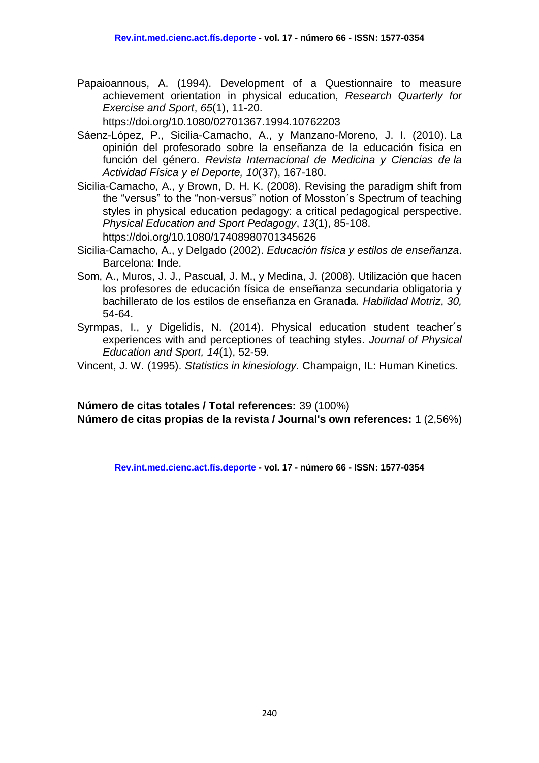Papaioannous, A. (1994). Development of a Questionnaire to measure achievement orientation in physical education, *Research Quarterly for Exercise and Sport*, *65*(1), 11-20.

https://doi.org/10.1080/02701367.1994.10762203

- Sáenz-López, P., Sicilia-Camacho, A., y Manzano-Moreno, J. I. (2010). La opinión del profesorado sobre la enseñanza de la educación física en función del género. *Revista Internacional de Medicina y Ciencias de la Actividad Física y el Deporte, 10*(37), 167-180.
- Sicilia-Camacho, A., y Brown, D. H. K. (2008). Revising the paradigm shift from the "versus" to the "non-versus" notion of Mosston´s Spectrum of teaching styles in physical education pedagogy: a critical pedagogical perspective. *Physical Education and Sport Pedagogy*, *13*(1), 85-108. https://doi.org/10.1080/17408980701345626
- Sicilia-Camacho, A., y Delgado (2002). *Educación física y estilos de enseñanza*. Barcelona: Inde.
- Som, A., Muros, J. J., Pascual, J. M., y Medina, J. (2008). Utilización que hacen los profesores de educación física de enseñanza secundaria obligatoria y bachillerato de los estilos de enseñanza en Granada. *Habilidad Motriz*, *30,* 54-64.
- Syrmpas, I., y Digelidis, N. (2014). Physical education student teacher´s experiences with and perceptiones of teaching styles. *Journal of Physical Education and Sport, 14*(1), 52-59.
- Vincent, J. W. (1995). *Statistics in kinesiology.* Champaign, IL: Human Kinetics.

**Número de citas totales / Total references:** 39 (100%) **Número de citas propias de la revista / Journal's own references:** 1 (2,56%)

**Rev.int.med.cienc.act.fís.deporte - vol. 17 - número 66 - ISSN: 1577-0354**